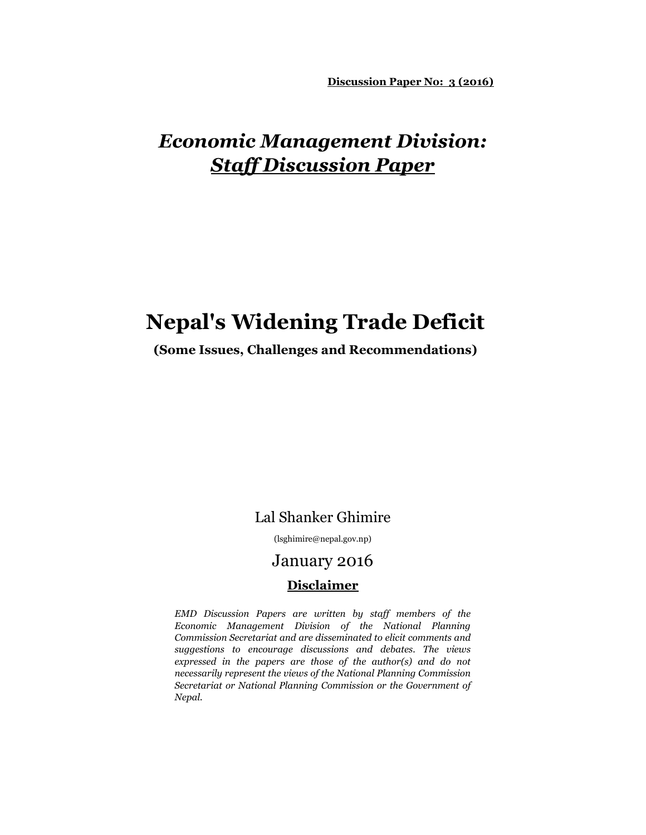**Discussion Paper No: 3 (2016)**

## *Economic Management Division: Staff Discussion Paper*

## **Nepal's Widening Trade Deficit**

#### **(Some Issues, Challenges and Recommendations)**

### Lal Shanker Ghimire

(lsghimire@nepal.gov.np)

### January 2016

#### **Disclaimer**

*EMD Discussion Papers are written by staff members of the Economic Management Division of the National Planning Commission Secretariat and are disseminated to elicit comments and suggestions to encourage discussions and debates. The views expressed in the papers are those of the author(s) and do not necessarily represent the views of the National Planning Commission Secretariat or National Planning Commission or the Government of Nepal.*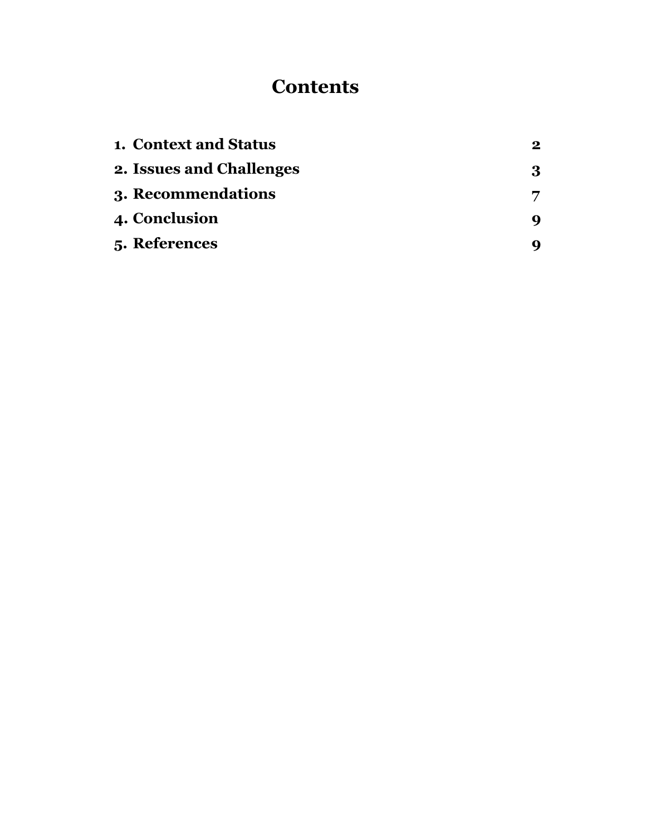# **Contents**

| <b>1. Context and Status</b> | $\bf{2}$ |
|------------------------------|----------|
| 2. Issues and Challenges     | 3        |
| 3. Recommendations           |          |
| <b>4. Conclusion</b>         | q        |
| 5. References                |          |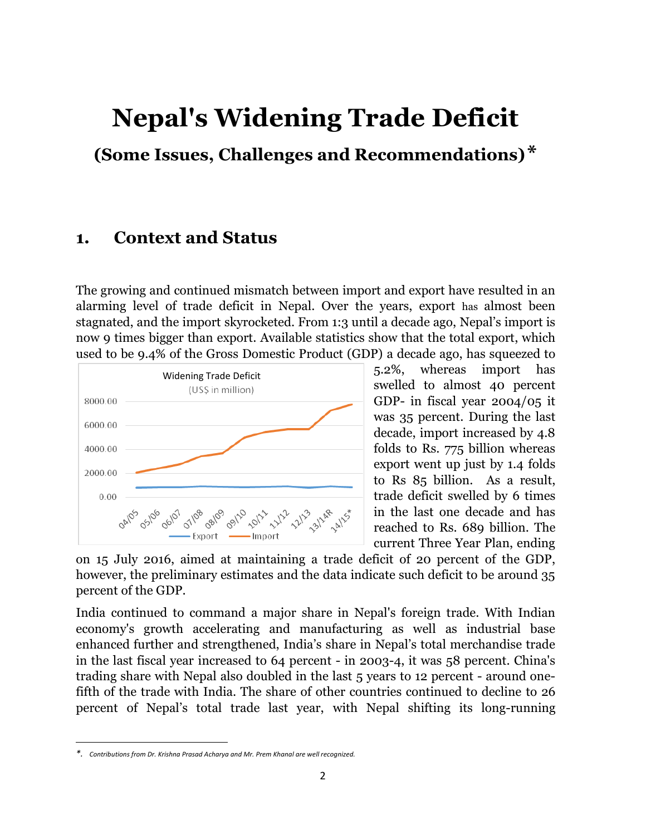# **Nepal's Widening Trade Deficit**

**(Some Issues, Challenges and Recommendations)\***

### **1. Context and Status**

The growing and continued mismatch between import and export have resulted in an alarming level of trade deficit in Nepal. Over the years, export has almost been stagnated, and the import skyrocketed. From 1:3 until a decade ago, Nepal's import is now 9 times bigger than export. Available statistics show that the total export, which used to be 9.4% of the Gross Domestic Product (GDP) a decade ago, has squeezed to



5.2%, whereas import has swelled to almost 40 percent GDP- in fiscal year 2004/05 it was 35 percent. During the last decade, import increased by 4.8 folds to Rs. 775 billion whereas export went up just by 1.4 folds to Rs 85 billion. As a result, trade deficit swelled by 6 times in the last one decade and has reached to Rs. 689 billion. The current Three Year Plan, ending

on 15 July 2016, aimed at maintaining a trade deficit of 20 percent of the GDP, however, the preliminary estimates and the data indicate such deficit to be around 35 percent of the GDP.

India continued to command a major share in Nepal's foreign trade. With Indian economy's growth accelerating and manufacturing as well as industrial base enhanced further and strengthened, India's share in Nepal's total merchandise trade in the last fiscal year increased to 64 percent - in 2003-4, it was 58 percent. China's trading share with Nepal also doubled in the last 5 years to 12 percent - around onefifth of the trade with India. The share of other countries continued to decline to 26 percent of Nepal's total trade last year, with Nepal shifting its long-running

 $\overline{a}$ 

*<sup>\*.</sup> Contributions from Dr. Krishna Prasad Acharya and Mr. Prem Khanal are well recognized.*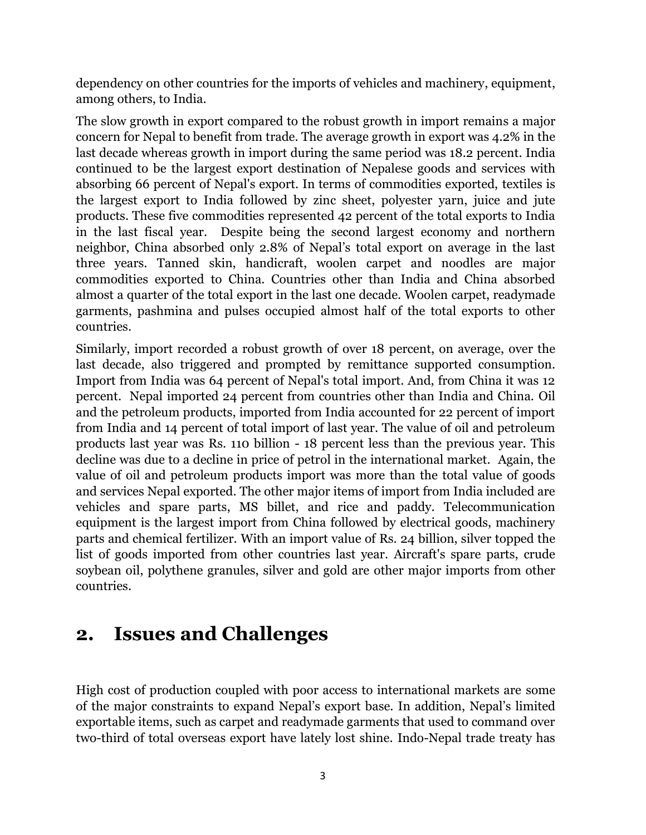dependency on other countries for the imports of vehicles and machinery, equipment, among others, to India.

The slow growth in export compared to the robust growth in import remains a major concern for Nepal to benefit from trade. The average growth in export was 4.2% in the last decade whereas growth in import during the same period was 18.2 percent. India continued to be the largest export destination of Nepalese goods and services with absorbing 66 percent of Nepal's export. In terms of commodities exported, textiles is the largest export to India followed by zinc sheet, polyester yarn, juice and jute products. These five commodities represented 42 percent of the total exports to India in the last fiscal year. Despite being the second largest economy and northern neighbor, China absorbed only 2.8% of Nepal's total export on average in the last three years. Tanned skin, handicraft, woolen carpet and noodles are major commodities exported to China. Countries other than India and China absorbed almost a quarter of the total export in the last one decade. Woolen carpet, readymade garments, pashmina and pulses occupied almost half of the total exports to other countries.

Similarly, import recorded a robust growth of over 18 percent, on average, over the last decade, also triggered and prompted by remittance supported consumption. Import from India was 64 percent of Nepal's total import. And, from China it was 12 percent. Nepal imported 24 percent from countries other than India and China. Oil and the petroleum products, imported from India accounted for 22 percent of import from India and 14 percent of total import of last year. The value of oil and petroleum products last year was Rs. 110 billion - 18 percent less than the previous year. This decline was due to a decline in price of petrol in the international market. Again, the value of oil and petroleum products import was more than the total value of goods and services Nepal exported. The other major items of import from India included are vehicles and spare parts, MS billet, and rice and paddy. Telecommunication equipment is the largest import from China followed by electrical goods, machinery parts and chemical fertilizer. With an import value of Rs. 24 billion, silver topped the list of goods imported from other countries last year. Aircraft's spare parts, crude soybean oil, polythene granules, silver and gold are other major imports from other countries.

## **2. Issues and Challenges**

High cost of production coupled with poor access to international markets are some of the major constraints to expand Nepal's export base. In addition, Nepal's limited exportable items, such as carpet and readymade garments that used to command over two-third of total overseas export have lately lost shine. Indo-Nepal trade treaty has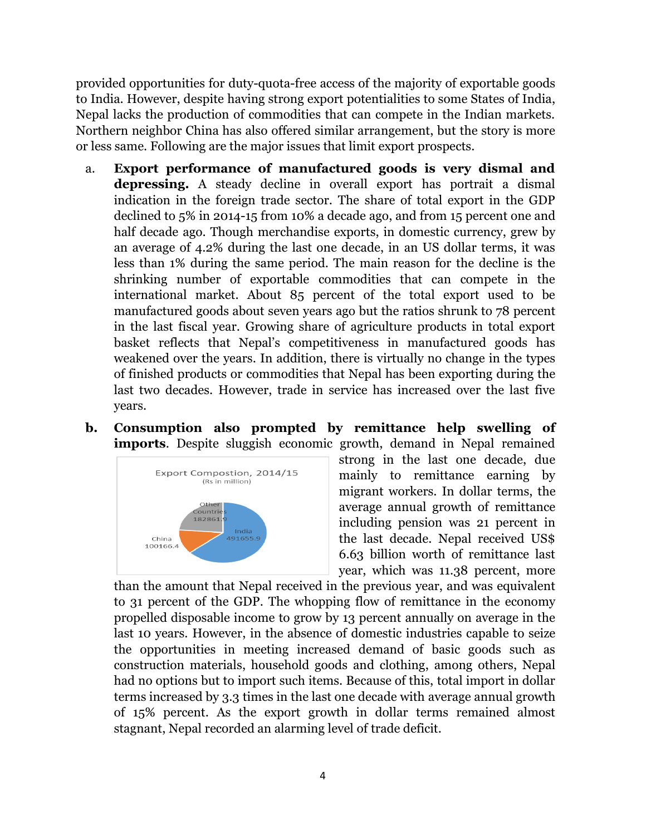provided opportunities for duty-quota-free access of the majority of exportable goods to India. However, despite having strong export potentialities to some States of India, Nepal lacks the production of commodities that can compete in the Indian markets. Northern neighbor China has also offered similar arrangement, but the story is more or less same. Following are the major issues that limit export prospects.

- a. **Export performance of manufactured goods is very dismal and depressing.** A steady decline in overall export has portrait a dismal indication in the foreign trade sector. The share of total export in the GDP declined to 5% in 2014-15 from 10% a decade ago, and from 15 percent one and half decade ago. Though merchandise exports, in domestic currency, grew by an average of 4.2% during the last one decade, in an US dollar terms, it was less than 1% during the same period. The main reason for the decline is the shrinking number of exportable commodities that can compete in the international market. About 85 percent of the total export used to be manufactured goods about seven years ago but the ratios shrunk to 78 percent in the last fiscal year. Growing share of agriculture products in total export basket reflects that Nepal's competitiveness in manufactured goods has weakened over the years. In addition, there is virtually no change in the types of finished products or commodities that Nepal has been exporting during the last two decades. However, trade in service has increased over the last five years.
- **b. Consumption also prompted by remittance help swelling of imports**. Despite sluggish economic growth, demand in Nepal remained



strong in the last one decade, due mainly to remittance earning by migrant workers. In dollar terms, the average annual growth of remittance including pension was 21 percent in the last decade. Nepal received US\$ 6.63 billion worth of remittance last year, which was 11.38 percent, more

than the amount that Nepal received in the previous year, and was equivalent to 31 percent of the GDP. The whopping flow of remittance in the economy propelled disposable income to grow by 13 percent annually on average in the last 10 years. However, in the absence of domestic industries capable to seize the opportunities in meeting increased demand of basic goods such as construction materials, household goods and clothing, among others, Nepal had no options but to import such items. Because of this, total import in dollar terms increased by 3.3 times in the last one decade with average annual growth of 15% percent. As the export growth in dollar terms remained almost stagnant, Nepal recorded an alarming level of trade deficit.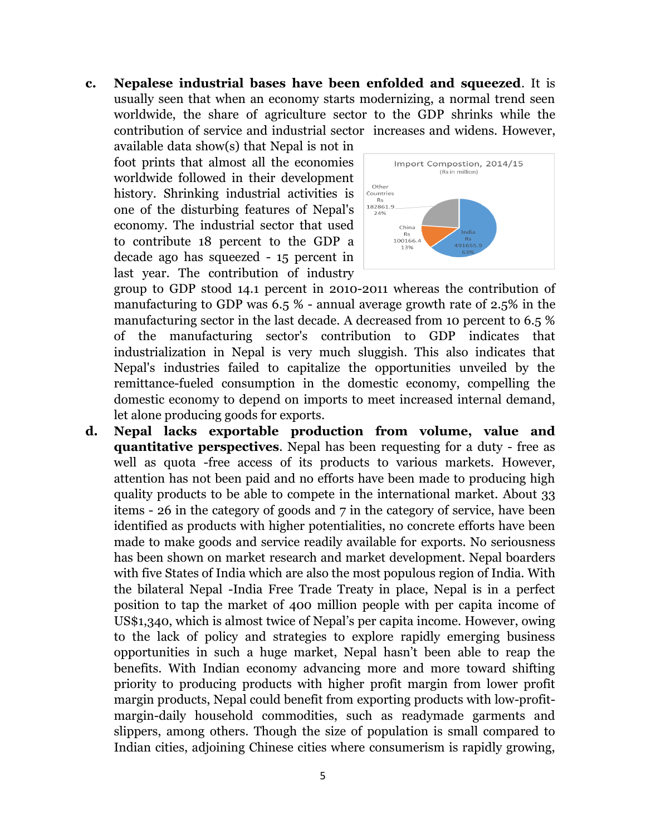**c. Nepalese industrial bases have been enfolded and squeezed**. It is usually seen that when an economy starts modernizing, a normal trend seen worldwide, the share of agriculture sector to the GDP shrinks while the contribution of service and industrial sector increases and widens. However,

available data show(s) that Nepal is not in foot prints that almost all the economies worldwide followed in their development history. Shrinking industrial activities is one of the disturbing features of Nepal's economy. The industrial sector that used to contribute 18 percent to the GDP a decade ago has squeezed - 15 percent in last year. The contribution of industry



group to GDP stood 14.1 percent in 2010-2011 whereas the contribution of manufacturing to GDP was 6.5 % - annual average growth rate of 2.5% in the manufacturing sector in the last decade. A decreased from 10 percent to 6.5 % of the manufacturing sector's contribution to GDP indicates that industrialization in Nepal is very much sluggish. This also indicates that Nepal's industries failed to capitalize the opportunities unveiled by the remittance-fueled consumption in the domestic economy, compelling the domestic economy to depend on imports to meet increased internal demand, let alone producing goods for exports.

**d. Nepal lacks exportable production from volume, value and quantitative perspectives**. Nepal has been requesting for a duty - free as well as quota -free access of its products to various markets. However, attention has not been paid and no efforts have been made to producing high quality products to be able to compete in the international market. About 33 items - 26 in the category of goods and 7 in the category of service, have been identified as products with higher potentialities, no concrete efforts have been made to make goods and service readily available for exports. No seriousness has been shown on market research and market development. Nepal boarders with five States of India which are also the most populous region of India. With the bilateral Nepal -India Free Trade Treaty in place, Nepal is in a perfect position to tap the market of 400 million people with per capita income of US\$1,340, which is almost twice of Nepal's per capita income. However, owing to the lack of policy and strategies to explore rapidly emerging business opportunities in such a huge market, Nepal hasn't been able to reap the benefits. With Indian economy advancing more and more toward shifting priority to producing products with higher profit margin from lower profit margin products, Nepal could benefit from exporting products with low-profitmargin-daily household commodities, such as readymade garments and slippers, among others. Though the size of population is small compared to Indian cities, adjoining Chinese cities where consumerism is rapidly growing,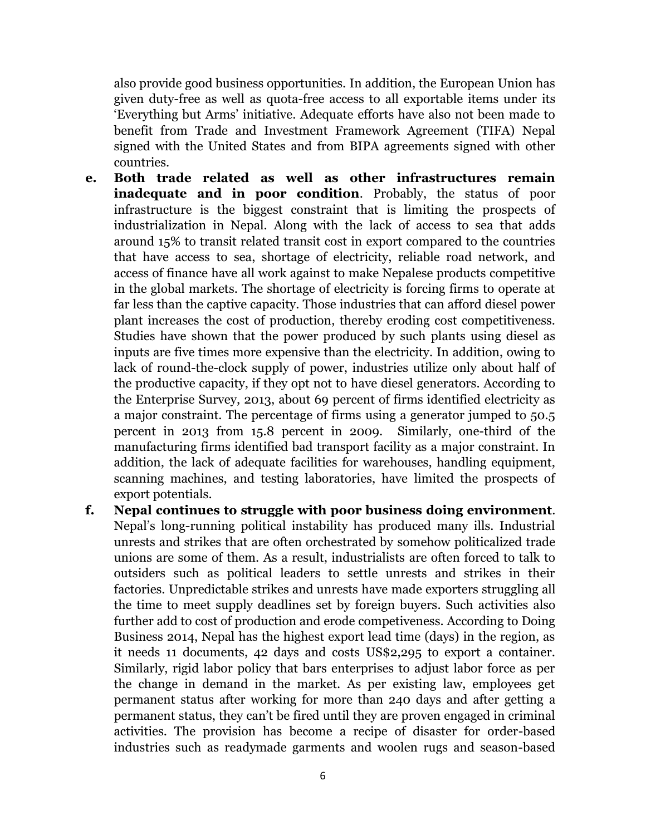also provide good business opportunities. In addition, the European Union has given duty-free as well as quota-free access to all exportable items under its 'Everything but Arms' initiative. Adequate efforts have also not been made to benefit from Trade and Investment Framework Agreement (TIFA) Nepal signed with the United States and from BIPA agreements signed with other countries.

- **e. Both trade related as well as other infrastructures remain inadequate and in poor condition**. Probably, the status of poor infrastructure is the biggest constraint that is limiting the prospects of industrialization in Nepal. Along with the lack of access to sea that adds around 15% to transit related transit cost in export compared to the countries that have access to sea, shortage of electricity, reliable road network, and access of finance have all work against to make Nepalese products competitive in the global markets. The shortage of electricity is forcing firms to operate at far less than the captive capacity. Those industries that can afford diesel power plant increases the cost of production, thereby eroding cost competitiveness. Studies have shown that the power produced by such plants using diesel as inputs are five times more expensive than the electricity. In addition, owing to lack of round-the-clock supply of power, industries utilize only about half of the productive capacity, if they opt not to have diesel generators. According to the Enterprise Survey, 2013, about 69 percent of firms identified electricity as a major constraint. The percentage of firms using a generator jumped to 50.5 percent in 2013 from 15.8 percent in 2009. Similarly, one-third of the manufacturing firms identified bad transport facility as a major constraint. In addition, the lack of adequate facilities for warehouses, handling equipment, scanning machines, and testing laboratories, have limited the prospects of export potentials.
- **f. Nepal continues to struggle with poor business doing environment**. Nepal's long-running political instability has produced many ills. Industrial unrests and strikes that are often orchestrated by somehow politicalized trade unions are some of them. As a result, industrialists are often forced to talk to outsiders such as political leaders to settle unrests and strikes in their factories. Unpredictable strikes and unrests have made exporters struggling all the time to meet supply deadlines set by foreign buyers. Such activities also further add to cost of production and erode competiveness. According to Doing Business 2014, Nepal has the highest export lead time (days) in the region, as it needs 11 documents, 42 days and costs US\$2,295 to export a container. Similarly, rigid labor policy that bars enterprises to adjust labor force as per the change in demand in the market. As per existing law, employees get permanent status after working for more than 240 days and after getting a permanent status, they can't be fired until they are proven engaged in criminal activities. The provision has become a recipe of disaster for order-based industries such as readymade garments and woolen rugs and season-based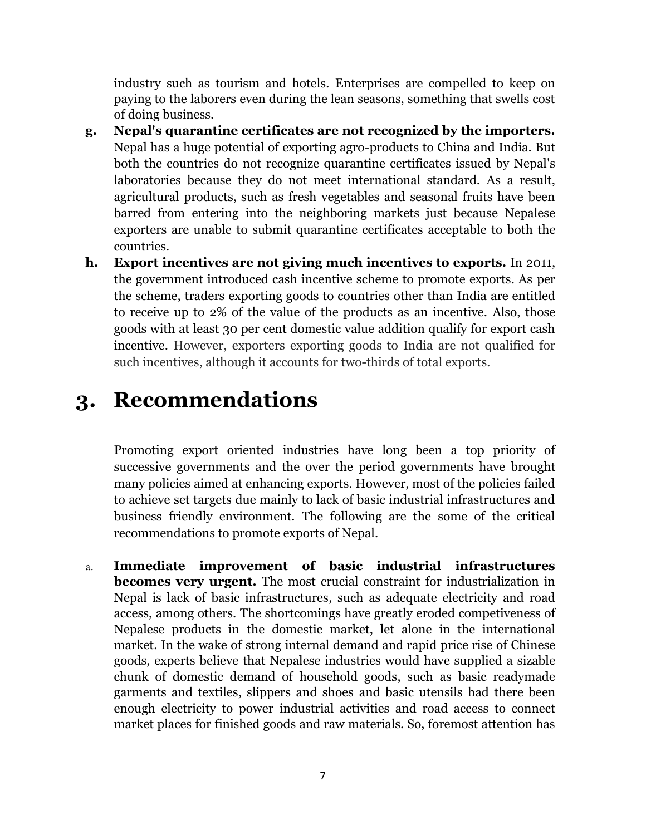industry such as tourism and hotels. Enterprises are compelled to keep on paying to the laborers even during the lean seasons, something that swells cost of doing business.

- **g. Nepal's quarantine certificates are not recognized by the importers.** Nepal has a huge potential of exporting agro-products to China and India. But both the countries do not recognize quarantine certificates issued by Nepal's laboratories because they do not meet international standard. As a result, agricultural products, such as fresh vegetables and seasonal fruits have been barred from entering into the neighboring markets just because Nepalese exporters are unable to submit quarantine certificates acceptable to both the countries.
- **h. Export incentives are not giving much incentives to exports.** In 2011, the government introduced cash incentive scheme to promote exports. As per the scheme, traders exporting goods to countries other than India are entitled to receive up to 2% of the value of the products as an incentive. Also, those goods with at least 30 per cent domestic value addition qualify for export cash incentive. However, exporters exporting goods to India are not qualified for such incentives, although it accounts for two-thirds of total exports.

# **3. Recommendations**

Promoting export oriented industries have long been a top priority of successive governments and the over the period governments have brought many policies aimed at enhancing exports. However, most of the policies failed to achieve set targets due mainly to lack of basic industrial infrastructures and business friendly environment. The following are the some of the critical recommendations to promote exports of Nepal.

a. **Immediate improvement of basic industrial infrastructures becomes very urgent.** The most crucial constraint for industrialization in Nepal is lack of basic infrastructures, such as adequate electricity and road access, among others. The shortcomings have greatly eroded competiveness of Nepalese products in the domestic market, let alone in the international market. In the wake of strong internal demand and rapid price rise of Chinese goods, experts believe that Nepalese industries would have supplied a sizable chunk of domestic demand of household goods, such as basic readymade garments and textiles, slippers and shoes and basic utensils had there been enough electricity to power industrial activities and road access to connect market places for finished goods and raw materials. So, foremost attention has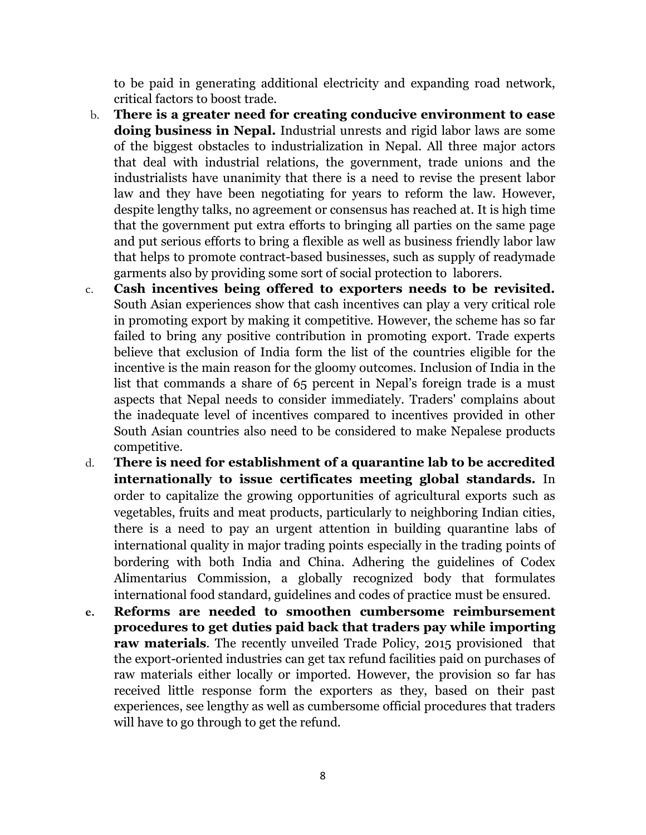to be paid in generating additional electricity and expanding road network, critical factors to boost trade.

- b. **There is a greater need for creating conducive environment to ease doing business in Nepal.** Industrial unrests and rigid labor laws are some of the biggest obstacles to industrialization in Nepal. All three major actors that deal with industrial relations, the government, trade unions and the industrialists have unanimity that there is a need to revise the present labor law and they have been negotiating for years to reform the law. However, despite lengthy talks, no agreement or consensus has reached at. It is high time that the government put extra efforts to bringing all parties on the same page and put serious efforts to bring a flexible as well as business friendly labor law that helps to promote contract-based businesses, such as supply of readymade garments also by providing some sort of social protection to laborers.
- c. **Cash incentives being offered to exporters needs to be revisited.** South Asian experiences show that cash incentives can play a very critical role in promoting export by making it competitive. However, the scheme has so far failed to bring any positive contribution in promoting export. Trade experts believe that exclusion of India form the list of the countries eligible for the incentive is the main reason for the gloomy outcomes. Inclusion of India in the list that commands a share of 65 percent in Nepal's foreign trade is a must aspects that Nepal needs to consider immediately. Traders' complains about the inadequate level of incentives compared to incentives provided in other South Asian countries also need to be considered to make Nepalese products competitive.
- d. **There is need for establishment of a quarantine lab to be accredited internationally to issue certificates meeting global standards.** In order to capitalize the growing opportunities of agricultural exports such as vegetables, fruits and meat products, particularly to neighboring Indian cities, there is a need to pay an urgent attention in building quarantine labs of international quality in major trading points especially in the trading points of bordering with both India and China. Adhering the guidelines of Codex Alimentarius Commission, a globally recognized body that formulates international food standard, guidelines and codes of practice must be ensured.
- **e. Reforms are needed to smoothen cumbersome reimbursement procedures to get duties paid back that traders pay while importing raw materials**. The recently unveiled Trade Policy, 2015 provisioned that the export-oriented industries can get tax refund facilities paid on purchases of raw materials either locally or imported. However, the provision so far has received little response form the exporters as they, based on their past experiences, see lengthy as well as cumbersome official procedures that traders will have to go through to get the refund.